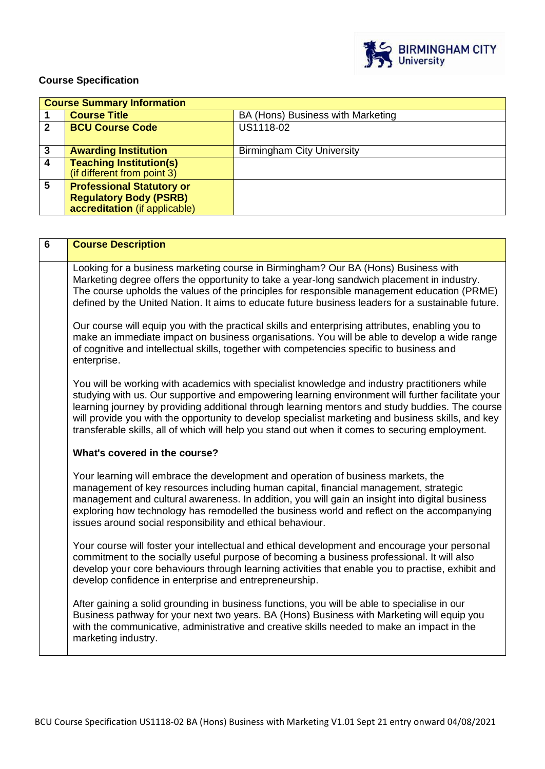

## **Course Specification**

|             | <b>Course Summary Information</b>                             |                                   |  |
|-------------|---------------------------------------------------------------|-----------------------------------|--|
|             | <b>Course Title</b>                                           | BA (Hons) Business with Marketing |  |
| $\mathbf 2$ | <b>BCU Course Code</b>                                        | US1118-02                         |  |
| 3           | <b>Awarding Institution</b>                                   | <b>Birmingham City University</b> |  |
| 4           | <b>Teaching Institution(s)</b><br>(if different from point 3) |                                   |  |
| 5           | <b>Professional Statutory or</b>                              |                                   |  |
|             | <b>Regulatory Body (PSRB)</b>                                 |                                   |  |
|             | accreditation (if applicable)                                 |                                   |  |

| $\overline{6}$ | <b>Course Description</b>                                                                                                                                                                                                                                                                                                                                                                                                                                                                                      |  |
|----------------|----------------------------------------------------------------------------------------------------------------------------------------------------------------------------------------------------------------------------------------------------------------------------------------------------------------------------------------------------------------------------------------------------------------------------------------------------------------------------------------------------------------|--|
|                | Looking for a business marketing course in Birmingham? Our BA (Hons) Business with<br>Marketing degree offers the opportunity to take a year-long sandwich placement in industry.<br>The course upholds the values of the principles for responsible management education (PRME)<br>defined by the United Nation. It aims to educate future business leaders for a sustainable future.                                                                                                                         |  |
|                | Our course will equip you with the practical skills and enterprising attributes, enabling you to<br>make an immediate impact on business organisations. You will be able to develop a wide range<br>of cognitive and intellectual skills, together with competencies specific to business and<br>enterprise.                                                                                                                                                                                                   |  |
|                | You will be working with academics with specialist knowledge and industry practitioners while<br>studying with us. Our supportive and empowering learning environment will further facilitate your<br>learning journey by providing additional through learning mentors and study buddies. The course<br>will provide you with the opportunity to develop specialist marketing and business skills, and key<br>transferable skills, all of which will help you stand out when it comes to securing employment. |  |
|                | What's covered in the course?                                                                                                                                                                                                                                                                                                                                                                                                                                                                                  |  |
|                | Your learning will embrace the development and operation of business markets, the<br>management of key resources including human capital, financial management, strategic<br>management and cultural awareness. In addition, you will gain an insight into digital business<br>exploring how technology has remodelled the business world and reflect on the accompanying<br>issues around social responsibility and ethical behaviour.                                                                        |  |
|                | Your course will foster your intellectual and ethical development and encourage your personal<br>commitment to the socially useful purpose of becoming a business professional. It will also<br>develop your core behaviours through learning activities that enable you to practise, exhibit and<br>develop confidence in enterprise and entrepreneurship.                                                                                                                                                    |  |
|                | After gaining a solid grounding in business functions, you will be able to specialise in our<br>Business pathway for your next two years. BA (Hons) Business with Marketing will equip you<br>with the communicative, administrative and creative skills needed to make an impact in the<br>marketing industry.                                                                                                                                                                                                |  |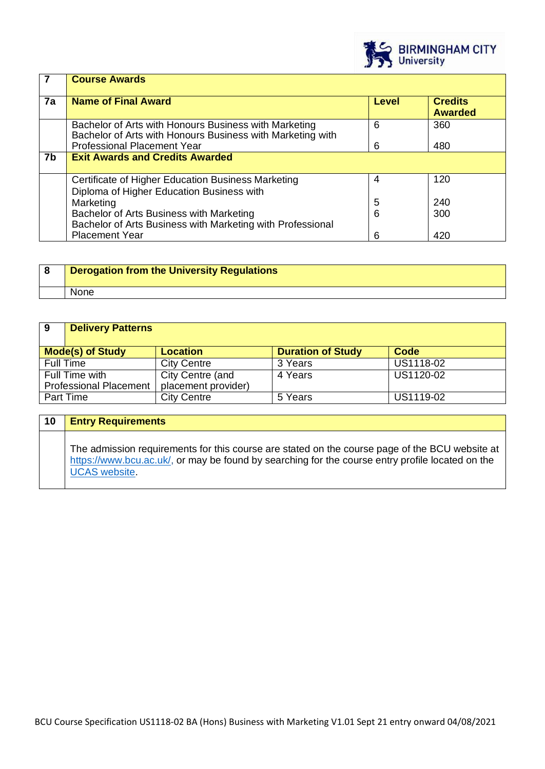

|    | <b>Course Awards</b>                                                                                                |       |                                  |
|----|---------------------------------------------------------------------------------------------------------------------|-------|----------------------------------|
| 7a | <b>Name of Final Award</b>                                                                                          | Level | <b>Credits</b><br><b>Awarded</b> |
|    | Bachelor of Arts with Honours Business with Marketing<br>Bachelor of Arts with Honours Business with Marketing with | 6     | 360                              |
|    | <b>Professional Placement Year</b>                                                                                  | 6     | 480                              |
| 7b | <b>Exit Awards and Credits Awarded</b>                                                                              |       |                                  |
|    | Certificate of Higher Education Business Marketing<br>Diploma of Higher Education Business with                     | 4     | 120                              |
|    | Marketing                                                                                                           | 5     | 240                              |
|    | Bachelor of Arts Business with Marketing<br>Bachelor of Arts Business with Marketing with Professional              | 6     | 300                              |
|    | <b>Placement Year</b>                                                                                               | 6     | 420                              |

| <b>Derogation from the University Regulations</b> |
|---------------------------------------------------|
| <b>None</b>                                       |

| 9                | <b>Delivery Patterns</b>      |                     |                          |           |
|------------------|-------------------------------|---------------------|--------------------------|-----------|
|                  | <b>Mode(s) of Study</b>       | <b>Location</b>     | <b>Duration of Study</b> | Code      |
| <b>Full Time</b> |                               | <b>City Centre</b>  | 3 Years                  | US1118-02 |
|                  | Full Time with                | City Centre (and    | 4 Years                  | US1120-02 |
|                  | <b>Professional Placement</b> | placement provider) |                          |           |
| <b>Part Time</b> |                               | <b>City Centre</b>  | 5 Years                  | US1119-02 |

| 10 | <b>Entry Requirements</b>                                                                                                                                                                                                  |
|----|----------------------------------------------------------------------------------------------------------------------------------------------------------------------------------------------------------------------------|
|    | The admission requirements for this course are stated on the course page of the BCU website at<br>https://www.bcu.ac.uk/, or may be found by searching for the course entry profile located on the<br><b>UCAS</b> website. |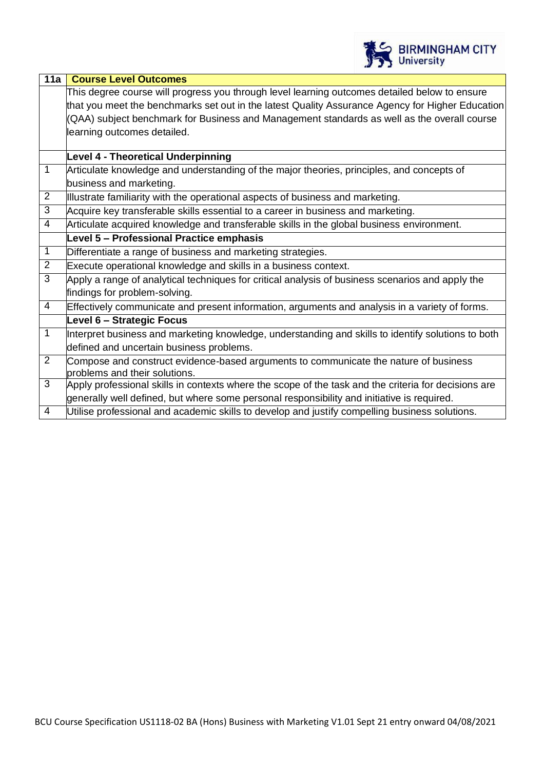

| 11a<br><b>Course Level Outcomes</b>                                                                  |
|------------------------------------------------------------------------------------------------------|
| This degree course will progress you through level learning outcomes detailed below to ensure        |
| that you meet the benchmarks set out in the latest Quality Assurance Agency for Higher Education     |
| (QAA) subject benchmark for Business and Management standards as well as the overall course          |
| learning outcomes detailed.                                                                          |
|                                                                                                      |
| <b>Level 4 - Theoretical Underpinning</b>                                                            |
| Articulate knowledge and understanding of the major theories, principles, and concepts of            |
| business and marketing.                                                                              |
| Illustrate familiarity with the operational aspects of business and marketing.                       |
| Acquire key transferable skills essential to a career in business and marketing.                     |
| Articulate acquired knowledge and transferable skills in the global business environment.            |
| Level 5 - Professional Practice emphasis                                                             |
| Differentiate a range of business and marketing strategies.                                          |
| Execute operational knowledge and skills in a business context.                                      |
| Apply a range of analytical techniques for critical analysis of business scenarios and apply the     |
| findings for problem-solving.                                                                        |
| Effectively communicate and present information, arguments and analysis in a variety of forms.       |
| Level 6 - Strategic Focus                                                                            |
| Interpret business and marketing knowledge, understanding and skills to identify solutions to both   |
| defined and uncertain business problems.                                                             |
| Compose and construct evidence-based arguments to communicate the nature of business                 |
| problems and their solutions.                                                                        |
| Apply professional skills in contexts where the scope of the task and the criteria for decisions are |
| generally well defined, but where some personal responsibility and initiative is required.           |
| Utilise professional and academic skills to develop and justify compelling business solutions.       |
|                                                                                                      |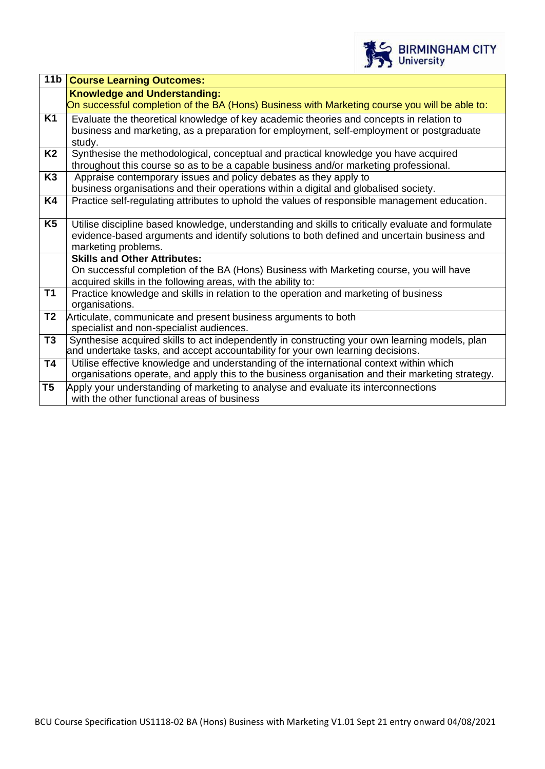

| 11 <sub>b</sub> | <b>Course Learning Outcomes:</b>                                                                                                                        |
|-----------------|---------------------------------------------------------------------------------------------------------------------------------------------------------|
|                 | <b>Knowledge and Understanding:</b>                                                                                                                     |
|                 | On successful completion of the BA (Hons) Business with Marketing course you will be able to:                                                           |
| K1              | Evaluate the theoretical knowledge of key academic theories and concepts in relation to                                                                 |
|                 | business and marketing, as a preparation for employment, self-employment or postgraduate                                                                |
|                 | study.                                                                                                                                                  |
| <b>K2</b>       | Synthesise the methodological, conceptual and practical knowledge you have acquired                                                                     |
|                 | throughout this course so as to be a capable business and/or marketing professional.                                                                    |
| K <sub>3</sub>  | Appraise contemporary issues and policy debates as they apply to                                                                                        |
|                 | business organisations and their operations within a digital and globalised society.                                                                    |
| K4              | Practice self-regulating attributes to uphold the values of responsible management education.                                                           |
|                 |                                                                                                                                                         |
| K <sub>5</sub>  | Utilise discipline based knowledge, understanding and skills to critically evaluate and formulate                                                       |
|                 | evidence-based arguments and identify solutions to both defined and uncertain business and                                                              |
|                 | marketing problems.<br><b>Skills and Other Attributes:</b>                                                                                              |
|                 |                                                                                                                                                         |
|                 | On successful completion of the BA (Hons) Business with Marketing course, you will have<br>acquired skills in the following areas, with the ability to: |
| <b>T1</b>       | Practice knowledge and skills in relation to the operation and marketing of business                                                                    |
|                 | organisations.                                                                                                                                          |
| T <sub>2</sub>  | Articulate, communicate and present business arguments to both                                                                                          |
|                 | specialist and non-specialist audiences.                                                                                                                |
| T3              | Synthesise acquired skills to act independently in constructing your own learning models, plan                                                          |
|                 | and undertake tasks, and accept accountability for your own learning decisions.                                                                         |
| <b>T4</b>       | Utilise effective knowledge and understanding of the international context within which                                                                 |
|                 | organisations operate, and apply this to the business organisation and their marketing strategy.                                                        |
| T <sub>5</sub>  | Apply your understanding of marketing to analyse and evaluate its interconnections                                                                      |
|                 | with the other functional areas of business                                                                                                             |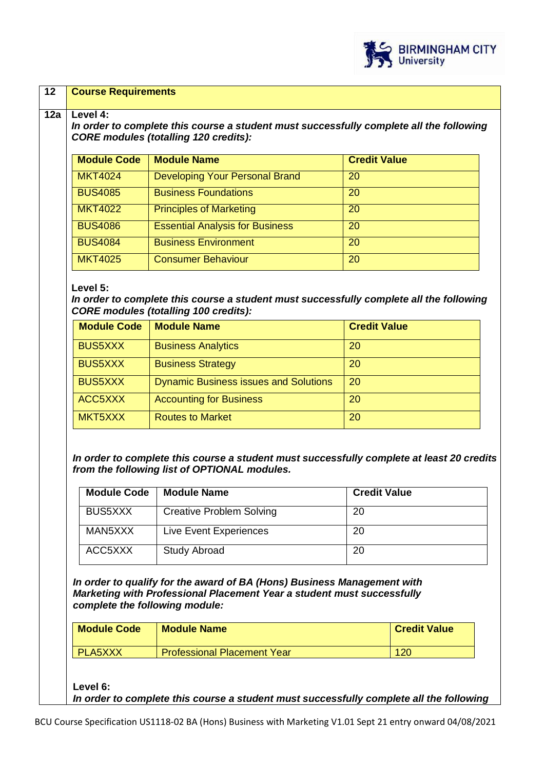

### **12 Course Requirements**

#### **12a Level 4:**

*In order to complete this course a student must successfully complete all the following CORE modules (totalling 120 credits):*

| <b>Module Code</b> | <b>Module Name</b>                     | <b>Credit Value</b> |
|--------------------|----------------------------------------|---------------------|
| <b>MKT4024</b>     | <b>Developing Your Personal Brand</b>  | 20                  |
| <b>BUS4085</b>     | <b>Business Foundations</b>            | 20                  |
| <b>MKT4022</b>     | <b>Principles of Marketing</b>         | 20                  |
| <b>BUS4086</b>     | <b>Essential Analysis for Business</b> | 20                  |
| <b>BUS4084</b>     | <b>Business Environment</b>            | 20                  |
| <b>MKT4025</b>     | <b>Consumer Behaviour</b>              | 20                  |

#### **Level 5:**

*In order to complete this course a student must successfully complete all the following CORE modules (totalling 100 credits):*

| <b>Module Code</b> | <b>Module Name</b>                           | <b>Credit Value</b> |
|--------------------|----------------------------------------------|---------------------|
| <b>BUS5XXX</b>     | <b>Business Analytics</b>                    | 20                  |
| <b>BUS5XXX</b>     | <b>Business Strategy</b>                     | 20                  |
| <b>BUS5XXX</b>     | <b>Dynamic Business issues and Solutions</b> | 20                  |
| ACC5XXX            | <b>Accounting for Business</b>               | 20                  |
| MKT5XXX            | <b>Routes to Market</b>                      | 20                  |

*In order to complete this course a student must successfully complete at least 20 credits from the following list of OPTIONAL modules.*

| <b>Module Code</b> | <b>Module Name</b>              | <b>Credit Value</b> |
|--------------------|---------------------------------|---------------------|
| <b>BUS5XXX</b>     | <b>Creative Problem Solving</b> | 20                  |
| MAN5XXX            | Live Event Experiences          | 20                  |
| ACC5XXX            | <b>Study Abroad</b>             | 20                  |

*In order to qualify for the award of BA (Hons) Business Management with Marketing with Professional Placement Year a student must successfully complete the following module:*

| <b>Module Code</b> | <b>Module Name</b>                 | <b>Credit Value</b> |
|--------------------|------------------------------------|---------------------|
| <b>PLA5XXX</b>     | <b>Professional Placement Year</b> | 120                 |

**Level 6:**

*In order to complete this course a student must successfully complete all the following*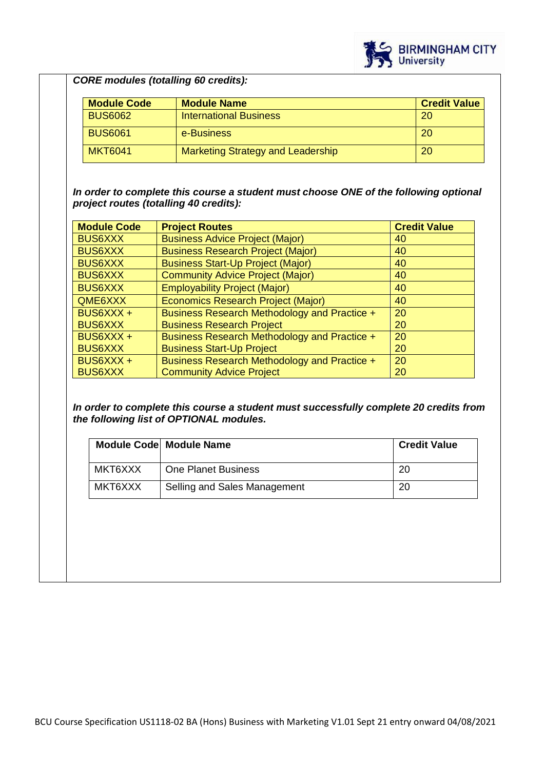

# *CORE modules (totalling 60 credits):*

| <b>Module Code</b> | <b>Module Name</b>                       | <b>Credit Value</b> |
|--------------------|------------------------------------------|---------------------|
| <b>BUS6062</b>     | <b>International Business</b>            | 20                  |
| <b>BUS6061</b>     | e-Business                               | 20                  |
| <b>MKT6041</b>     | <b>Marketing Strategy and Leadership</b> | 20                  |

*In order to complete this course a student must choose ONE of the following optional project routes (totalling 40 credits):*

| <b>Module Code</b> | <b>Project Routes</b>                        | <b>Credit Value</b> |
|--------------------|----------------------------------------------|---------------------|
| <b>BUS6XXX</b>     | <b>Business Advice Project (Major)</b>       | 40                  |
| <b>BUS6XXX</b>     | <b>Business Research Project (Major)</b>     | 40                  |
| <b>BUS6XXX</b>     | <b>Business Start-Up Project (Major)</b>     | 40                  |
| <b>BUS6XXX</b>     | <b>Community Advice Project (Major)</b>      | 40                  |
| <b>BUS6XXX</b>     | <b>Employability Project (Major)</b>         | 40                  |
| QME6XXX            | <b>Economics Research Project (Major)</b>    | 40                  |
| BUS6XXX +          | Business Research Methodology and Practice + | 20                  |
| <b>BUS6XXX</b>     | <b>Business Research Project</b>             | 20                  |
| BUS6XXX +          | Business Research Methodology and Practice + | 20                  |
| <b>BUS6XXX</b>     | <b>Business Start-Up Project</b>             | 20                  |
| BUS6XXX +          | Business Research Methodology and Practice + | 20                  |
| <b>BUS6XXX</b>     | <b>Community Advice Project</b>              | 20                  |

*In order to complete this course a student must successfully complete 20 credits from the following list of OPTIONAL modules.*

|         | <b>Module Code Module Name</b> | <b>Credit Value</b> |
|---------|--------------------------------|---------------------|
| MKT6XXX | <b>One Planet Business</b>     | 20                  |
| MKT6XXX | Selling and Sales Management   | 20                  |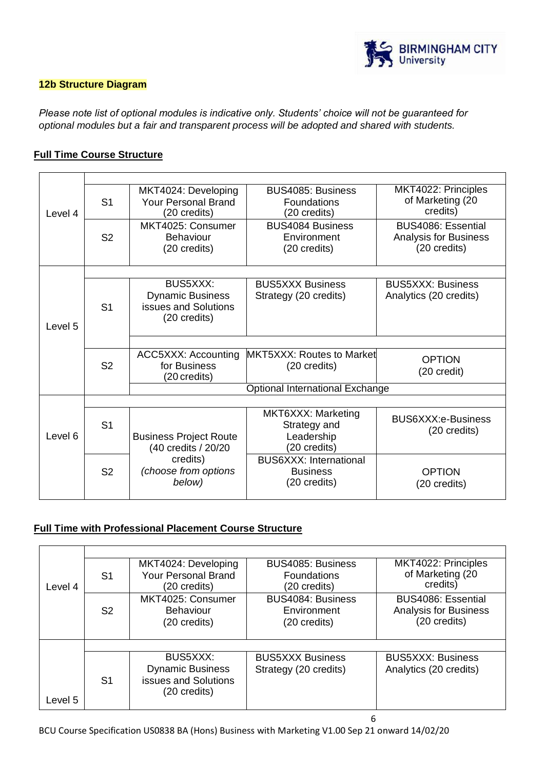

### **12b Structure Diagram**

*Please note list of optional modules is indicative only. Students' choice will not be guaranteed for optional modules but a fair and transparent process will be adopted and shared with students.*

### **Full Time Course Structure**

|         |                | MKT4024: Developing           | BUS4085: Business                      | MKT4022: Principles          |
|---------|----------------|-------------------------------|----------------------------------------|------------------------------|
|         | S <sub>1</sub> | <b>Your Personal Brand</b>    | Foundations                            | of Marketing (20             |
| Level 4 |                | (20 credits)                  | (20 credits)                           | credits)                     |
|         |                | MKT4025: Consumer             | <b>BUS4084 Business</b>                | BUS4086: Essential           |
|         | S <sub>2</sub> | <b>Behaviour</b>              | Environment                            | <b>Analysis for Business</b> |
|         |                | (20 credits)                  | (20 credits)                           | (20 credits)                 |
|         |                |                               |                                        |                              |
|         |                |                               |                                        |                              |
|         |                | BUS5XXX:                      | <b>BUS5XXX Business</b>                | <b>BUS5XXX: Business</b>     |
|         |                | <b>Dynamic Business</b>       | Strategy (20 credits)                  | Analytics (20 credits)       |
|         | S <sub>1</sub> | issues and Solutions          |                                        |                              |
|         |                | (20 credits)                  |                                        |                              |
| Level 5 |                |                               |                                        |                              |
|         |                |                               |                                        |                              |
|         |                | ACC5XXX: Accounting           | MKT5XXX: Routes to Market              | <b>OPTION</b>                |
|         | S <sub>2</sub> | for Business                  | (20 credits)                           | (20 credit)                  |
|         |                | (20 credits)                  |                                        |                              |
|         |                |                               | <b>Optional International Exchange</b> |                              |
|         |                |                               |                                        |                              |
|         |                |                               | MKT6XXX: Marketing                     | <b>BUS6XXX:e-Business</b>    |
|         | S <sub>1</sub> |                               | Strategy and                           | (20 credits)                 |
| Level 6 |                | <b>Business Project Route</b> | Leadership                             |                              |
|         |                | (40 credits / 20/20           | (20 credits)                           |                              |
|         |                | credits)                      | <b>BUS6XXX: International</b>          |                              |
|         | S <sub>2</sub> | (choose from options          | <b>Business</b>                        | <b>OPTION</b>                |
|         |                | below)                        | (20 credits)                           | (20 credits)                 |
|         |                |                               |                                        |                              |

## **Full Time with Professional Placement Course Structure**

| Level 4 | S <sub>1</sub> | MKT4024: Developing<br><b>Your Personal Brand</b><br>(20 credits)                  | BUS4085: Business<br><b>Foundations</b><br>(20 credits) | MKT4022: Principles<br>of Marketing (20<br>credits)                |
|---------|----------------|------------------------------------------------------------------------------------|---------------------------------------------------------|--------------------------------------------------------------------|
|         | S <sub>2</sub> | MKT4025: Consumer<br><b>Behaviour</b><br>(20 credits)                              | BUS4084: Business<br>Environment<br>(20 credits)        | BUS4086: Essential<br><b>Analysis for Business</b><br>(20 credits) |
|         |                |                                                                                    |                                                         |                                                                    |
| Level 5 | S <sub>1</sub> | <b>BUS5XXX:</b><br><b>Dynamic Business</b><br>issues and Solutions<br>(20 credits) | <b>BUS5XXX Business</b><br>Strategy (20 credits)        | <b>BUS5XXX: Business</b><br>Analytics (20 credits)                 |

6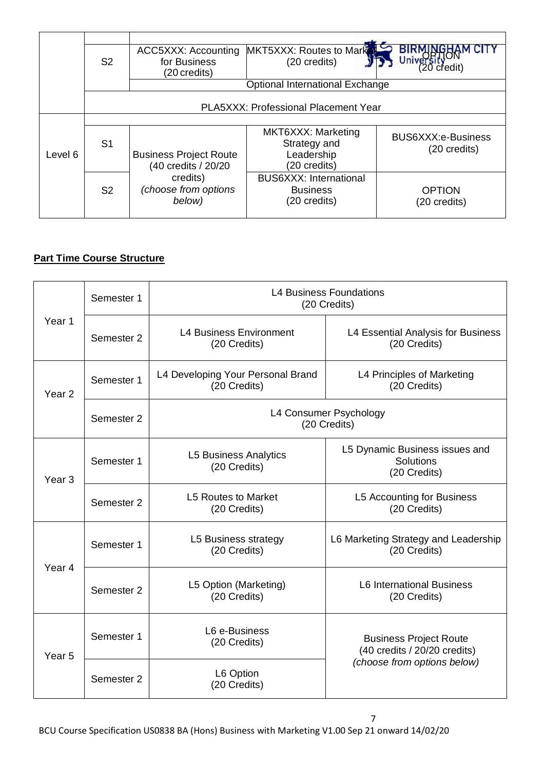|         | S <sub>2</sub> | ACC5XXX: Accounting<br>for Business<br>(20 credits)  | MKT5XXX: Routes to Market<br>(20 credits)                        | 20 credit)                         |
|---------|----------------|------------------------------------------------------|------------------------------------------------------------------|------------------------------------|
|         |                |                                                      | Optional International Exchange                                  |                                    |
|         |                |                                                      | PLA5XXX: Professional Placement Year                             |                                    |
|         |                |                                                      |                                                                  |                                    |
| Level 6 | S <sub>1</sub> | <b>Business Project Route</b><br>(40 credits / 20/20 | MKT6XXX: Marketing<br>Strategy and<br>Leadership<br>(20 credits) | BUS6XXX:e-Business<br>(20 credits) |
|         | S <sub>2</sub> | credits)<br>(choose from options<br>below)           | <b>BUS6XXX: International</b><br><b>Business</b><br>(20 credits) | <b>OPTION</b><br>(20 credits)      |

## **Part Time Course Structure**

|                      | Semester 1 | <b>L4 Business Foundations</b><br>(20 Credits)    |                                                               |  |
|----------------------|------------|---------------------------------------------------|---------------------------------------------------------------|--|
| Year 1<br>Semester 2 |            | <b>L4 Business Environment</b><br>(20 Credits)    | L4 Essential Analysis for Business<br>(20 Credits)            |  |
| Year <sub>2</sub>    | Semester 1 | L4 Developing Your Personal Brand<br>(20 Credits) | L4 Principles of Marketing<br>(20 Credits)                    |  |
|                      | Semester 2 |                                                   | L4 Consumer Psychology<br>(20 Credits)                        |  |
| Year <sub>3</sub>    | Semester 1 | <b>L5 Business Analytics</b><br>(20 Credits)      | L5 Dynamic Business issues and<br>Solutions<br>(20 Credits)   |  |
| Semester 2           |            | <b>L5 Routes to Market</b><br>(20 Credits)        | L5 Accounting for Business<br>(20 Credits)                    |  |
| Year 4               | Semester 1 | L5 Business strategy<br>(20 Credits)              | L6 Marketing Strategy and Leadership<br>(20 Credits)          |  |
| Semester 2           |            | L5 Option (Marketing)<br>(20 Credits)             | <b>L6 International Business</b><br>(20 Credits)              |  |
| Year <sub>5</sub>    | Semester 1 | L6 e-Business<br>(20 Credits)                     | <b>Business Project Route</b><br>(40 credits / 20/20 credits) |  |
|                      | Semester 2 | L6 Option<br>(20 Credits)                         | (choose from options below)                                   |  |

7 BCU Course Specification US0838 BA (Hons) Business with Marketing V1.00 Sep 21 onward 14/02/20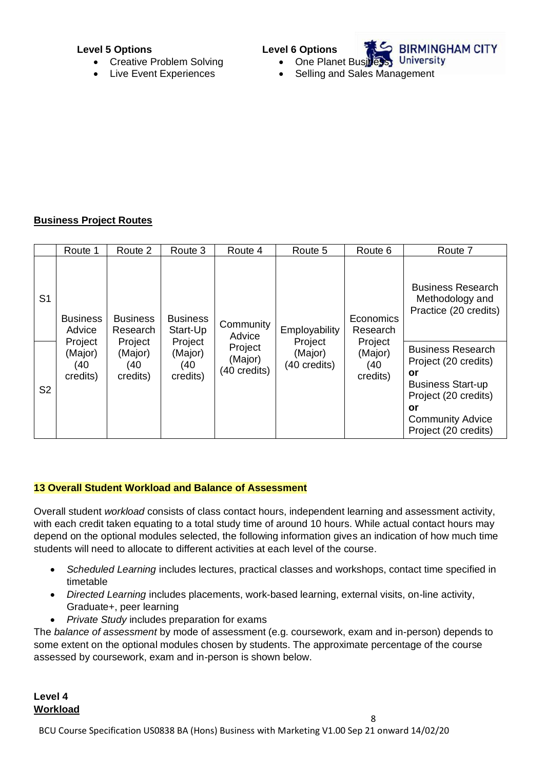### **Level 5 Options**

- Creative Problem Solving
- Live Event Experiences

**Level 6 Options**



- **S BIRMINGHAM CITY**
- One Planet Business University
- Selling and Sales Management

## **Business Project Routes**

|                | Route 1                               | Route 2                                | Route 3                                | Route 4                            | Route 5                            | Route 6                                | Route 7                                                                                                                                                             |
|----------------|---------------------------------------|----------------------------------------|----------------------------------------|------------------------------------|------------------------------------|----------------------------------------|---------------------------------------------------------------------------------------------------------------------------------------------------------------------|
| S <sub>1</sub> | <b>Business</b><br>Advice             | <b>Business</b><br>Research            | <b>Business</b><br>Start-Up            | Community<br>Advice                | Employability                      | Economics<br>Research                  | <b>Business Research</b><br>Methodology and<br>Practice (20 credits)                                                                                                |
| S <sub>2</sub> | Project<br>(Major)<br>(40<br>credits) | Project<br>(Major)<br>(40)<br>credits) | Project<br>(Major)<br>(40)<br>credits) | Project<br>(Major)<br>(40 credits) | Project<br>(Major)<br>(40 credits) | Project<br>(Major)<br>(40)<br>credits) | <b>Business Research</b><br>Project (20 credits)<br>or<br><b>Business Start-up</b><br>Project (20 credits)<br>or<br><b>Community Advice</b><br>Project (20 credits) |

## **13 Overall Student Workload and Balance of Assessment**

Overall student *workload* consists of class contact hours, independent learning and assessment activity, with each credit taken equating to a total study time of around 10 hours. While actual contact hours may depend on the optional modules selected, the following information gives an indication of how much time students will need to allocate to different activities at each level of the course.

- *Scheduled Learning* includes lectures, practical classes and workshops, contact time specified in timetable
- *Directed Learning* includes placements, work-based learning, external visits, on-line activity, Graduate+, peer learning
- *Private Study* includes preparation for exams

The *balance of assessment* by mode of assessment (e.g. coursework, exam and in-person) depends to some extent on the optional modules chosen by students. The approximate percentage of the course assessed by coursework, exam and in-person is shown below.